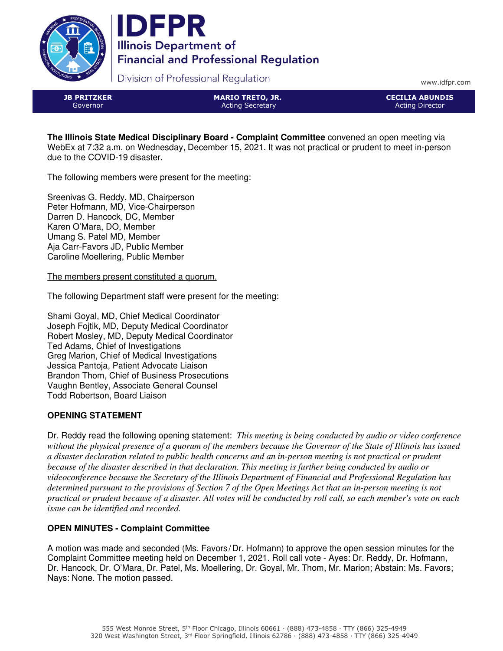



Division of Professional Regulation

www.idfpr.com

JB PRITZKER Governor

MARIO TRETO, JR. Acting Secretary

CECILIA ABUNDIS Acting Director

**The Illinois State Medical Disciplinary Board - Complaint Committee** convened an open meeting via WebEx at 7:32 a.m. on Wednesday, December 15, 2021. It was not practical or prudent to meet in-person due to the COVID-19 disaster.

The following members were present for the meeting:

Sreenivas G. Reddy, MD, Chairperson Peter Hofmann, MD, Vice-Chairperson Darren D. Hancock, DC, Member Karen O'Mara, DO, Member Umang S. Patel MD, Member Aja Carr-Favors JD, Public Member Caroline Moellering, Public Member

The members present constituted a quorum.

The following Department staff were present for the meeting:

Shami Goyal, MD, Chief Medical Coordinator Joseph Fojtik, MD, Deputy Medical Coordinator Robert Mosley, MD, Deputy Medical Coordinator Ted Adams, Chief of Investigations Greg Marion, Chief of Medical Investigations Jessica Pantoja, Patient Advocate Liaison Brandon Thom, Chief of Business Prosecutions Vaughn Bentley, Associate General Counsel Todd Robertson, Board Liaison

## **OPENING STATEMENT**

Dr. Reddy read the following opening statement: *This meeting is being conducted by audio or video conference without the physical presence of a quorum of the members because the Governor of the State of Illinois has issued a disaster declaration related to public health concerns and an in-person meeting is not practical or prudent because of the disaster described in that declaration. This meeting is further being conducted by audio or videoconference because the Secretary of the Illinois Department of Financial and Professional Regulation has determined pursuant to the provisions of Section 7 of the Open Meetings Act that an in-person meeting is not practical or prudent because of a disaster. All votes will be conducted by roll call, so each member's vote on each issue can be identified and recorded.*

# **OPEN MINUTES - Complaint Committee**

A motion was made and seconded (Ms. Favors /Dr. Hofmann) to approve the open session minutes for the Complaint Committee meeting held on December 1, 2021. Roll call vote - Ayes: Dr. Reddy, Dr. Hofmann, Dr. Hancock, Dr. O'Mara, Dr. Patel, Ms. Moellering, Dr. Goyal, Mr. Thom, Mr. Marion; Abstain: Ms. Favors; Nays: None. The motion passed.